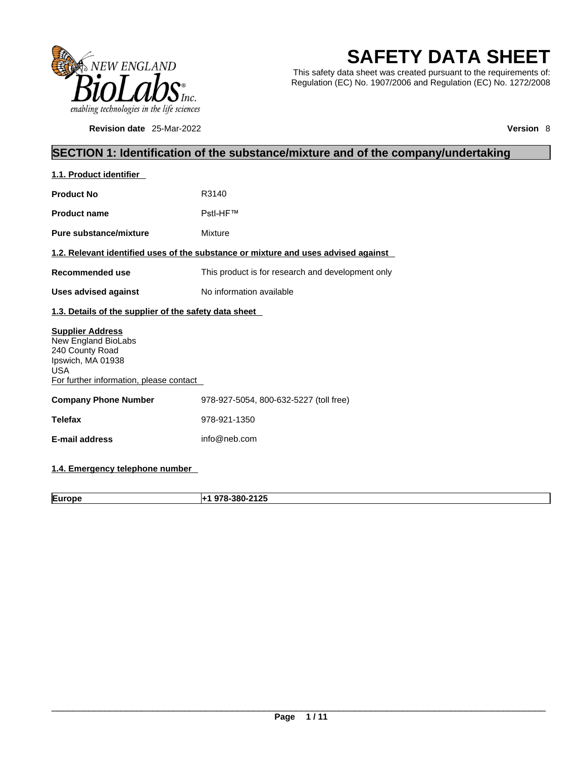

**Revision date** 25-Mar-2022 **Version** 8

# **SAFETY DATA SHEET**

This safety data sheet was created pursuant to the requirements of: Regulation (EC) No. 1907/2006 and Regulation (EC) No. 1272/2008

# **SECTION 1: Identification of the substance/mixture and of the company/undertaking**

| 1.1. Product identifier                                                                                                                         |                                                                                    |
|-------------------------------------------------------------------------------------------------------------------------------------------------|------------------------------------------------------------------------------------|
| <b>Product No</b>                                                                                                                               | R3140                                                                              |
| <b>Product name</b>                                                                                                                             | PstI-HF™                                                                           |
| Pure substance/mixture                                                                                                                          | Mixture                                                                            |
|                                                                                                                                                 | 1.2. Relevant identified uses of the substance or mixture and uses advised against |
| Recommended use                                                                                                                                 | This product is for research and development only                                  |
| <b>Uses advised against</b>                                                                                                                     | No information available                                                           |
| 1.3. Details of the supplier of the safety data sheet                                                                                           |                                                                                    |
| <b>Supplier Address</b><br>New England BioLabs<br>240 County Road<br>Ipswich, MA 01938<br><b>USA</b><br>For further information, please contact |                                                                                    |
| <b>Company Phone Number</b>                                                                                                                     | 978-927-5054, 800-632-5227 (toll free)                                             |
| <b>Telefax</b>                                                                                                                                  | 978-921-1350                                                                       |
| <b>E-mail address</b>                                                                                                                           | info@neb.com                                                                       |
|                                                                                                                                                 |                                                                                    |

## **1.4. Emergency telephone number**

**Europe +1 978-380-2125**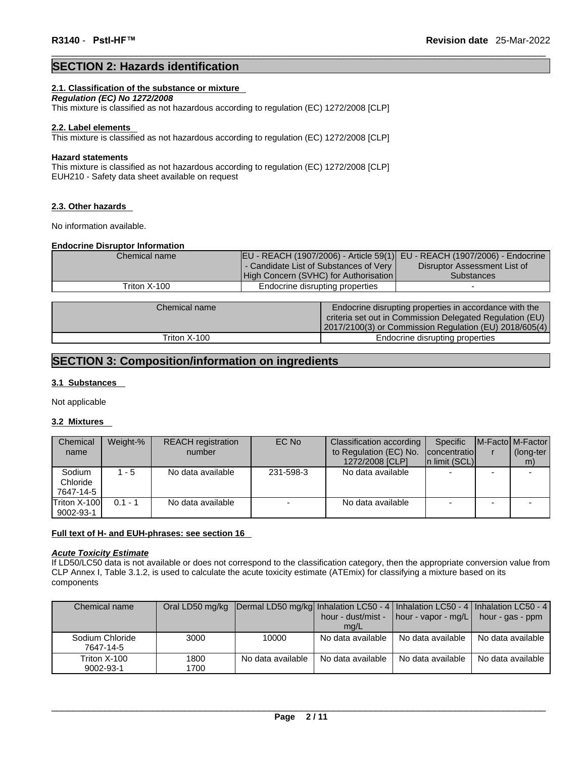## **SECTION 2: Hazards identification**

#### **2.1. Classification of the substance or mixture**

*Regulation (EC) No 1272/2008*  This mixture is classified as not hazardous according to regulation (EC) 1272/2008 [CLP]

#### **2.2. Label elements**

This mixture is classified as not hazardous according to regulation (EC) 1272/2008 [CLP]

#### **Hazard statements**

This mixture is classified as not hazardous according to regulation (EC) 1272/2008 [CLP] EUH210 - Safety data sheet available on request

#### **2.3. Other hazards**

No information available.

#### **Endocrine Disruptor Information**

| Chemical name |                                        | EU - REACH (1907/2006) - Article 59(1)  EU - REACH (1907/2006) - Endocrine |                                                        |
|---------------|----------------------------------------|----------------------------------------------------------------------------|--------------------------------------------------------|
|               | - Candidate List of Substances of Very |                                                                            | Disruptor Assessment List of                           |
|               | High Concern (SVHC) for Authorisation  |                                                                            | <b>Substances</b>                                      |
| Triton X-100  | Endocrine disrupting properties        |                                                                            |                                                        |
|               |                                        |                                                                            |                                                        |
| Chemical name |                                        |                                                                            | Endocrine disrupting properties in accordance with the |

| Chemical name | Endocrine disrupting properties in accordance with the<br>criteria set out in Commission Delegated Regulation (EU)<br>[2017/2100(3) or Commission Regulation (EU) 2018/605(4) |  |
|---------------|-------------------------------------------------------------------------------------------------------------------------------------------------------------------------------|--|
| Triton X-100  | Endocrine disrupting properties                                                                                                                                               |  |

## **SECTION 3: Composition/information on ingredients**

#### **3.1 Substances**

Not applicable

#### **3.2 Mixtures**

| Chemical     | Weight-%  | <b>REACH</b> registration | EC No     | Classification according | Specific       | M-Facto M-Factor |
|--------------|-----------|---------------------------|-----------|--------------------------|----------------|------------------|
| name         |           | number                    |           | to Regulation (EC) No.   | concentratio   | (long-ter        |
|              |           |                           |           | 1272/2008 [CLP]          | In limit (SCL) | m)               |
| Sodium       | $1 - 5$   | No data available         | 231-598-3 | No data available        |                |                  |
| Chloride     |           |                           |           |                          |                |                  |
| 7647-14-5    |           |                           |           |                          |                |                  |
| Triton X-100 | $0.1 - 1$ | No data available         |           | No data available        |                |                  |
| 9002-93-1    |           |                           |           |                          |                |                  |

#### **Full text of H- and EUH-phrases: see section 16**

#### *Acute Toxicity Estimate*

If LD50/LC50 data is not available or does not correspond to the classification category, then the appropriate conversion value from CLP Annex I, Table 3.1.2, is used to calculate the acute toxicity estimate (ATEmix) for classifying a mixture based on its components

| Chemical name   |      | Oral LD50 mg/kg Dermal LD50 mg/kg Inhalation LC50 - 4   Inhalation LC50 - 4   Inhalation LC50 - 4 |                   |                                                |                      |  |
|-----------------|------|---------------------------------------------------------------------------------------------------|-------------------|------------------------------------------------|----------------------|--|
|                 |      |                                                                                                   |                   | hour - dust/mist - $\vert$ hour - vapor - mg/L | $h$ hour - gas - ppm |  |
|                 |      |                                                                                                   | mq/L              |                                                |                      |  |
| Sodium Chloride | 3000 | 10000                                                                                             | No data available | No data available                              | No data available    |  |
| 7647-14-5       |      |                                                                                                   |                   |                                                |                      |  |
| Triton X-100    | 1800 | No data available                                                                                 | No data available | No data available                              | No data available    |  |
| 9002-93-1       | 1700 |                                                                                                   |                   |                                                |                      |  |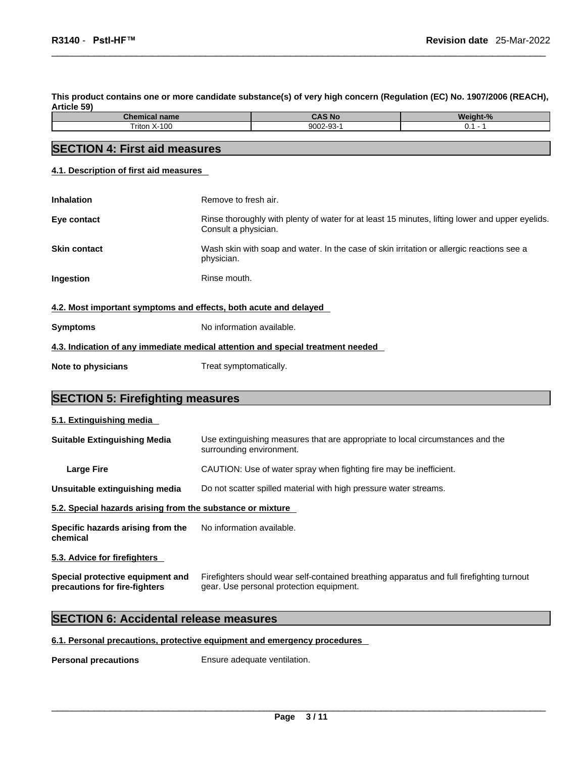This product contains one or more candidate substance(s) of very high concern (Regulation (EC) No. 1907/2006 (REACH), **Article 59)** 

| <b>Chemical</b><br>name | <b>CAS No.</b> | <b>Moi</b><br>aht-% |
|-------------------------|----------------|---------------------|
| າ X-100<br>Triton       | 9002-93-       | ν. ι                |
|                         |                |                     |

# **SECTION 4: First aid measures**

**4.1. Description of first aid measures**

| <b>Inhalation</b>                                                | Remove to fresh air.                                                                                                    |
|------------------------------------------------------------------|-------------------------------------------------------------------------------------------------------------------------|
| Eye contact                                                      | Rinse thoroughly with plenty of water for at least 15 minutes, lifting lower and upper eyelids.<br>Consult a physician. |
| <b>Skin contact</b>                                              | Wash skin with soap and water. In the case of skin irritation or allergic reactions see a<br>physician.                 |
| Ingestion                                                        | Rinse mouth.                                                                                                            |
| 4.2. Most important symptoms and effects, both acute and delayed |                                                                                                                         |
| <b>Symptoms</b>                                                  | No information available.                                                                                               |
|                                                                  | 4.3. Indication of any immediate medical attention and special treatment needed                                         |
| Note to physicians                                               | Treat symptomatically.                                                                                                  |

# **SECTION 5: Firefighting measures**

#### **5.1. Extinguishing media**

| <b>Suitable Extinguishing Media</b>                        | Use extinguishing measures that are appropriate to local circumstances and the<br>surrounding environment. |
|------------------------------------------------------------|------------------------------------------------------------------------------------------------------------|
| Large Fire                                                 | CAUTION: Use of water spray when fighting fire may be inefficient.                                         |
| Unsuitable extinguishing media                             | Do not scatter spilled material with high pressure water streams.                                          |
| 5.2. Special hazards arising from the substance or mixture |                                                                                                            |
| Specific hazards arising from the<br>chemical              | No information available.                                                                                  |
| ---------                                                  |                                                                                                            |

## **5.3. Advice for firefighters**

**Special protective equipment and precautions for fire-fighters** Firefighters should wear self-contained breathing apparatus and full firefighting turnout gear. Use personal protection equipment.

## **SECTION 6: Accidental release measures**

#### **6.1. Personal precautions, protective equipment and emergency procedures**

**Personal precautions** Ensure adequate ventilation.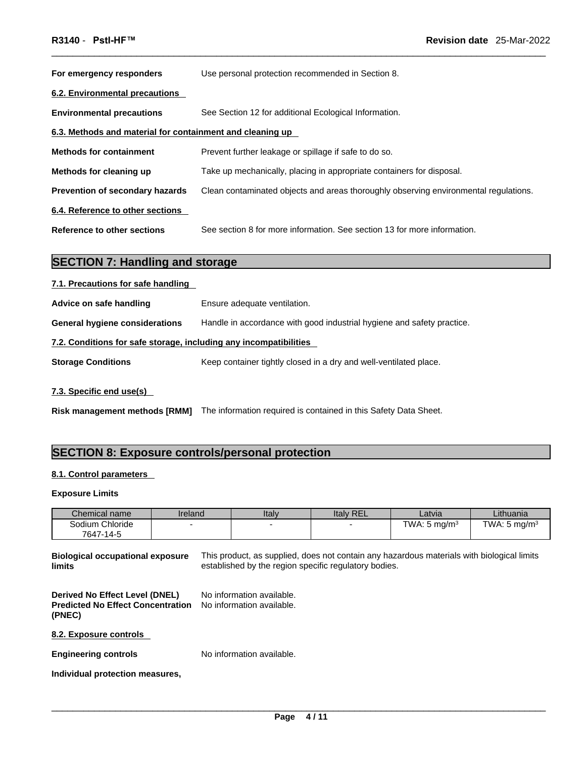| For emergency responders                                  | Use personal protection recommended in Section 8.                                    |
|-----------------------------------------------------------|--------------------------------------------------------------------------------------|
| 6.2. Environmental precautions                            |                                                                                      |
| <b>Environmental precautions</b>                          | See Section 12 for additional Ecological Information.                                |
| 6.3. Methods and material for containment and cleaning up |                                                                                      |
| <b>Methods for containment</b>                            | Prevent further leakage or spillage if safe to do so.                                |
| Methods for cleaning up                                   | Take up mechanically, placing in appropriate containers for disposal.                |
| <b>Prevention of secondary hazards</b>                    | Clean contaminated objects and areas thoroughly observing environmental regulations. |
| 6.4. Reference to other sections                          |                                                                                      |
| Reference to other sections                               | See section 8 for more information. See section 13 for more information.             |

# **SECTION 7: Handling and storage**

| 7.1. Precautions for safe handling                                |                                                                        |
|-------------------------------------------------------------------|------------------------------------------------------------------------|
| Advice on safe handling                                           | Ensure adequate ventilation.                                           |
| <b>General hygiene considerations</b>                             | Handle in accordance with good industrial hygiene and safety practice. |
| 7.2. Conditions for safe storage, including any incompatibilities |                                                                        |
| <b>Storage Conditions</b>                                         | Keep container tightly closed in a dry and well-ventilated place.      |
|                                                                   |                                                                        |

#### **7.3. Specific end use(s)**

Risk management methods [RMM] The information required is contained in this Safety Data Sheet.

## **SECTION 8: Exposure controls/personal protection**

#### **8.1. Control parameters**

#### **Exposure Limits**

| Chemical name                | Ireland | Italy | <b>Italy REL</b> | Latvia          | Lithuania               |
|------------------------------|---------|-------|------------------|-----------------|-------------------------|
| Sodium Chloride<br>7647-14-5 |         |       |                  | TWA: 5 mg/m $3$ | TWA: $5 \text{ ma/m}^3$ |

**Biological occupational exposure limits** This product, as supplied, does not contain any hazardous materials with biological limits established by the region specific regulatory bodies.

**Derived No Effect Level (DNEL)** No information available. **Predicted No Effect Concentration (PNEC)**  No information available.

**8.2. Exposure controls** 

**Engineering controls** No information available.

**Individual protection measures,**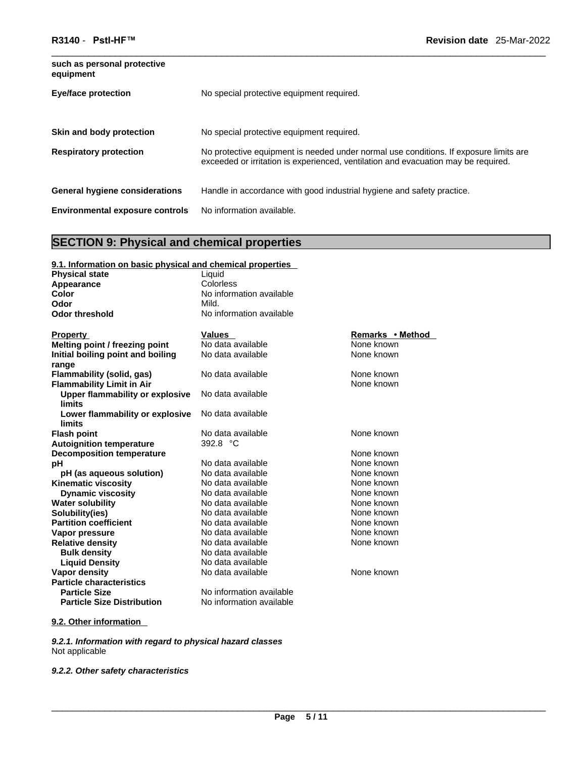| such as personal protective<br>equipment |                                                                                                                                                                             |
|------------------------------------------|-----------------------------------------------------------------------------------------------------------------------------------------------------------------------------|
| <b>Eye/face protection</b>               | No special protective equipment required.                                                                                                                                   |
| Skin and body protection                 | No special protective equipment required.                                                                                                                                   |
| <b>Respiratory protection</b>            | No protective equipment is needed under normal use conditions. If exposure limits are<br>exceeded or irritation is experienced, ventilation and evacuation may be required. |
| <b>General hygiene considerations</b>    | Handle in accordance with good industrial hygiene and safety practice.                                                                                                      |
| <b>Environmental exposure controls</b>   | No information available.                                                                                                                                                   |

# **SECTION 9: Physical and chemical properties**

| 9.1. Information on basic physical and chemical properties |                          |                  |
|------------------------------------------------------------|--------------------------|------------------|
| <b>Physical state</b>                                      | Liquid                   |                  |
| Appearance                                                 | Colorless                |                  |
| Color                                                      | No information available |                  |
| Odor                                                       | Mild.                    |                  |
| <b>Odor threshold</b>                                      | No information available |                  |
|                                                            |                          |                  |
| <b>Property</b>                                            | <b>Values</b>            | Remarks • Method |
| Melting point / freezing point                             | No data available        | None known       |
| Initial boiling point and boiling                          | No data available        | None known       |
| range                                                      |                          |                  |
| Flammability (solid, gas)                                  | No data available        | None known       |
| <b>Flammability Limit in Air</b>                           |                          | None known       |
| Upper flammability or explosive                            | No data available        |                  |
| limits                                                     |                          |                  |
| Lower flammability or explosive                            | No data available        |                  |
| limits                                                     |                          |                  |
| <b>Flash point</b>                                         | No data available        | None known       |
| <b>Autoignition temperature</b>                            | 392.8 °C                 |                  |
| <b>Decomposition temperature</b>                           |                          | None known       |
| pH                                                         | No data available        | None known       |
| pH (as aqueous solution)                                   | No data available        | None known       |
| <b>Kinematic viscosity</b>                                 | No data available        | None known       |
| <b>Dynamic viscosity</b>                                   | No data available        | None known       |
| <b>Water solubility</b>                                    | No data available        | None known       |
| Solubility(ies)                                            | No data available        | None known       |
| <b>Partition coefficient</b>                               | No data available        | None known       |
| Vapor pressure                                             | No data available        | None known       |
| <b>Relative density</b>                                    | No data available        | None known       |
| <b>Bulk density</b>                                        | No data available        |                  |
| <b>Liquid Density</b>                                      | No data available        |                  |
| <b>Vapor density</b>                                       | No data available        | None known       |
| <b>Particle characteristics</b>                            |                          |                  |
| <b>Particle Size</b>                                       | No information available |                  |
| <b>Particle Size Distribution</b>                          | No information available |                  |

## **9.2. Other information**

*9.2.1. Information with regard to physical hazard classes* Not applicable

*9.2.2. Other safety characteristics*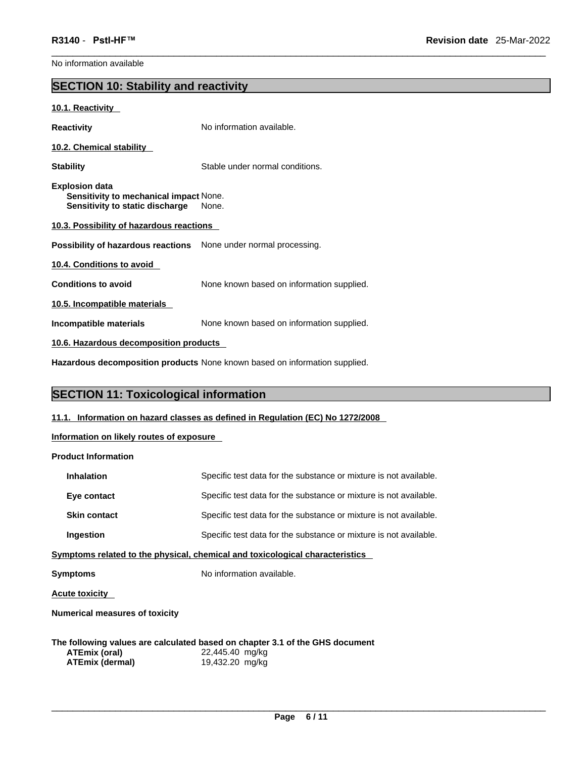No information available

# **SECTION 10: Stability and reactivity**

#### **10.1. Reactivity**

| Reactivity                                                                                  | No information available.                 |
|---------------------------------------------------------------------------------------------|-------------------------------------------|
| 10.2. Chemical stability                                                                    |                                           |
| Stabilitv                                                                                   | Stable under normal conditions.           |
| Explosion data<br>Sensitivity to mechanical impact None.<br>Sensitivity to static discharge | None.                                     |
| 10.3. Possibility of hazardous reactions                                                    |                                           |
| Possibility of hazardous reactions None under normal processing.                            |                                           |
| 10.4. Conditions to avoid                                                                   |                                           |
| <b>Conditions to avoid</b>                                                                  | None known based on information supplied. |
| 10.5. Incompatible materials                                                                |                                           |
| Incompatible materials                                                                      | None known based on information supplied. |
| 10.6. Hazardous decomposition products                                                      |                                           |

**Hazardous decomposition products** None known based on information supplied.

# **SECTION 11: Toxicological information**

#### **11.1. Information on hazard classes as defined in Regulation (EC) No 1272/2008**

**Information on likely routes of exposure**

#### **Product Information**

| <b>Inhalation</b>   | Specific test data for the substance or mixture is not available. |
|---------------------|-------------------------------------------------------------------|
| Eye contact         | Specific test data for the substance or mixture is not available. |
| <b>Skin contact</b> | Specific test data for the substance or mixture is not available. |
| Ingestion           | Specific test data for the substance or mixture is not available. |
|                     |                                                                   |

#### **<u>Symptoms related to the physical, chemical and toxicological characteristics</u>**

**Symptoms** No information available.

**Acute toxicity** 

**Numerical measures of toxicity**

**The following values are calculated based on chapter 3.1 of the GHS document ATEmix (oral)** 22,445.40 mg/kg **ATEmix** (dermal)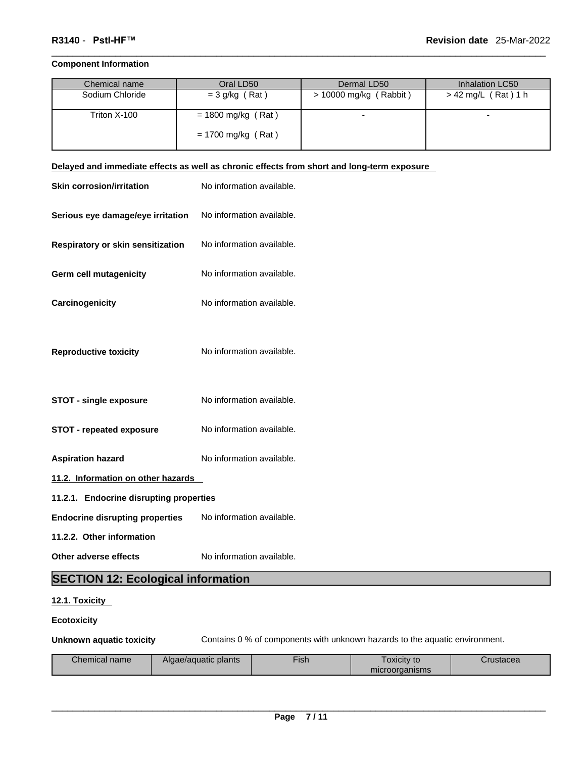#### **Component Information**

| Chemical name   | Oral LD50            | Dermal LD50            | Inhalation LC50     |
|-----------------|----------------------|------------------------|---------------------|
| Sodium Chloride | $=$ 3 g/kg (Rat)     | > 10000 mg/kg (Rabbit) | > 42 mg/L (Rat) 1 h |
| Triton X-100    | $= 1800$ mg/kg (Rat) |                        |                     |
|                 | $= 1700$ mg/kg (Rat) |                        |                     |

## **Delayed and immediate effects as well as chronic effects from short and long-term exposure**

| <b>Skin corrosion/irritation</b>          | No information available. |
|-------------------------------------------|---------------------------|
| Serious eye damage/eye irritation         | No information available. |
| Respiratory or skin sensitization         | No information available. |
| <b>Germ cell mutagenicity</b>             | No information available. |
| Carcinogenicity                           | No information available. |
| <b>Reproductive toxicity</b>              | No information available. |
| <b>STOT - single exposure</b>             | No information available. |
| <b>STOT - repeated exposure</b>           | No information available. |
| <b>Aspiration hazard</b>                  | No information available. |
| 11.2. Information on other hazards        |                           |
| 11.2.1. Endocrine disrupting properties   |                           |
| <b>Endocrine disrupting properties</b>    | No information available. |
| 11.2.2. Other information                 |                           |
| Other adverse effects                     | No information available. |
| <b>SECTION 12: Ecological information</b> |                           |

#### **12.1. Toxicity**

#### **Ecotoxicity**

**Unknown aquatic toxicity** Contains 0 % of components with unknown hazards to the aquatic environment.

| Chemical name | Algae/aguatic plants | --<br><u>Hish</u> | ⊺oxicit∨ to    | Crustacea |
|---------------|----------------------|-------------------|----------------|-----------|
|               |                      |                   | microorganisms |           |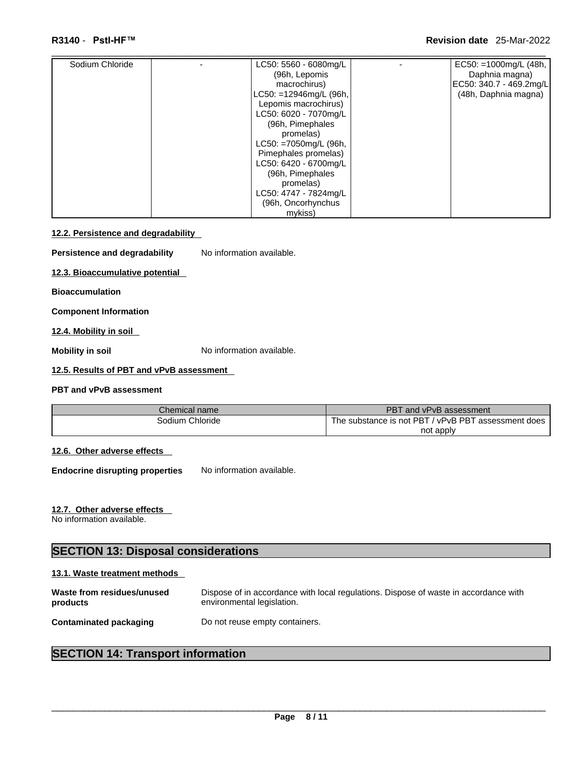| Sodium Chloride | LC50: 5560 - 6080mg/L     | EC50: =1000mg/L $(48h,$ |
|-----------------|---------------------------|-------------------------|
|                 | (96h, Lepomis             | Daphnia magna)          |
|                 | macrochirus)              | EC50: 340.7 - 469.2mg/L |
|                 | $LC50: = 12946mg/L (96h,$ | (48h, Daphnia magna)    |
|                 | Lepomis macrochirus)      |                         |
|                 | LC50: 6020 - 7070mg/L     |                         |
|                 | (96h, Pimephales          |                         |
|                 | promelas)                 |                         |
|                 | $LC50: = 7050$ mg/L (96h, |                         |
|                 | Pimephales promelas)      |                         |
|                 | LC50: 6420 - 6700mg/L     |                         |
|                 | (96h, Pimephales          |                         |
|                 | promelas)                 |                         |
|                 | LC50: 4747 - 7824mg/L     |                         |
|                 | (96h, Oncorhynchus        |                         |
|                 | mykiss)                   |                         |

#### **12.2. Persistence and degradability**

**Persistence and degradability** No information available.

**12.3. Bioaccumulative potential**

**Bioaccumulation**

**Component Information**

**12.4. Mobility in soil** 

**Mobility in soil Mobility in soil No** information available.

## **12.5. Results of PBT and vPvB assessment**

#### **PBT and vPvB assessment**

| Chemical name   | PBT and vPvB assessment                             |
|-----------------|-----------------------------------------------------|
| Sodium Chloride | The substance is not PBT / vPvB PBT assessment does |
|                 | not apply                                           |

## **12.6. Other adverse effects**

**Endocrine disrupting properties** No information available.

## **12.7. Other adverse effects**

No information available.

# **SECTION 13: Disposal considerations**

#### **13.1. Waste treatment methods**

| Waste from residues/unused    | Dispose of in accordance with local regulations. Dispose of waste in accordance with |
|-------------------------------|--------------------------------------------------------------------------------------|
| products                      | environmental legislation.                                                           |
| <b>Contaminated packaging</b> | Do not reuse empty containers.                                                       |

## **SECTION 14: Transport information**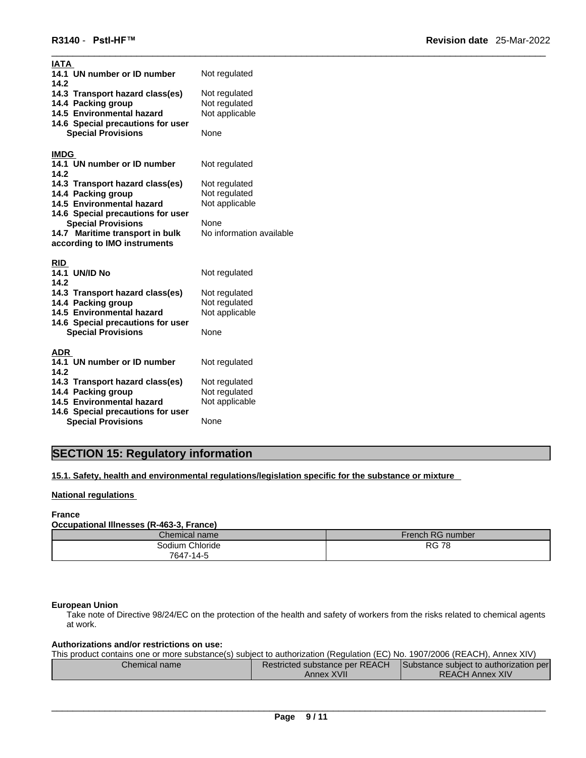| IATA<br>14.1 UN number or ID number<br>14.2<br>14.3 Transport hazard class(es)<br>14.4 Packing group<br>14.5 Environmental hazard<br>14.6 Special precautions for user<br><b>Special Provisions</b>                                                                           | Not regulated<br>Not regulated<br>Not regulated<br>Not applicable<br>None                             |
|-------------------------------------------------------------------------------------------------------------------------------------------------------------------------------------------------------------------------------------------------------------------------------|-------------------------------------------------------------------------------------------------------|
| <b>IMDG</b><br>14.1 UN number or ID number<br>14.2<br>14.3 Transport hazard class(es)<br>14.4 Packing group<br>14.5 Environmental hazard<br>14.6 Special precautions for user<br><b>Special Provisions</b><br>14.7 Maritime transport in bulk<br>according to IMO instruments | Not regulated<br>Not regulated<br>Not regulated<br>Not applicable<br>None<br>No information available |
| <b>RID</b><br><b>14.1 UN/ID No</b><br>14.2<br>14.3 Transport hazard class(es)<br>14.4 Packing group<br>14.5 Environmental hazard<br>14.6 Special precautions for user<br><b>Special Provisions</b>                                                                            | Not regulated<br>Not regulated<br>Not regulated<br>Not applicable<br>None                             |
| <b>ADR</b><br>14.1 UN number or ID number<br>14.2<br>14.3 Transport hazard class(es)<br>14.4 Packing group<br>14.5 Environmental hazard<br>14.6 Special precautions for user<br><b>Special Provisions</b>                                                                     | Not regulated<br>Not regulated<br>Not regulated<br>Not applicable<br>None                             |

# **SECTION 15: Regulatory information**

**15.1. Safety, health and environmental regulations/legislation specific for the substance or mixture**

#### **National regulations**

#### **France**

#### **Occupational Illnesses (R-463-3, France)**

| Chemical name        | French RG number |
|----------------------|------------------|
| ∟Chloride<br>3odium. | <b>RG 78</b>     |
| 7647-14-5            |                  |

#### **European Union**

Take note of Directive 98/24/EC on the protection of the health and safety of workers from the risks related to chemical agents at work.

#### **Authorizations and/or restrictions on use:**

This product contains one or more substance(s) subject to authorization (Regulation (EC) No. 1907/2006 (REACH), Annex XIV)

| Chemical name | Restricted substance per REACH | Substance subject to authorization per |  |
|---------------|--------------------------------|----------------------------------------|--|
|               | Annex XVII                     | <b>REACH Annex XIV</b>                 |  |
|               |                                |                                        |  |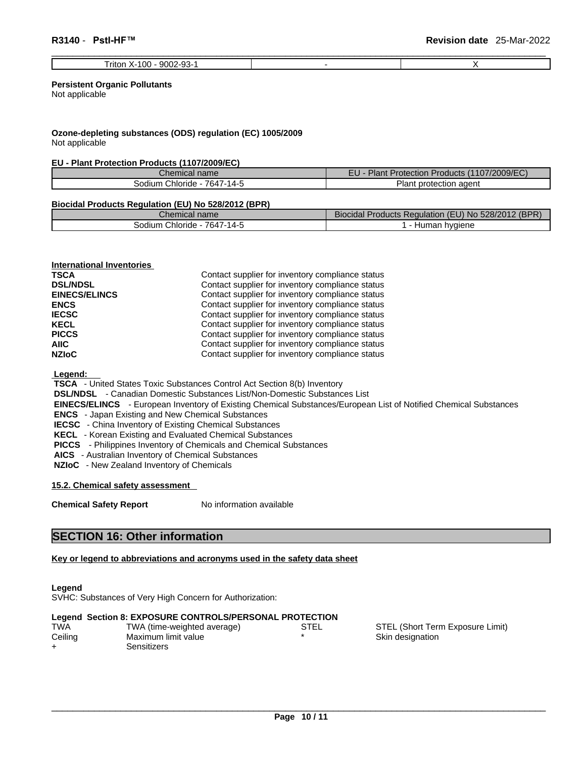| റാ<br>9002<br>٬ ∩ ٬<br>ritor.<br>vu<br>'ສວ= |  |
|---------------------------------------------|--|

#### **Persistent Organic Pollutants**

Not applicable

#### **Ozone-depleting substances (ODS) regulation (EC) 1005/2009** Not applicable

#### **EU - Plant Protection Products (1107/2009/EC)**

| hemical name                    | (1107/2009/EC)<br>Plan.<br>Protection Products (1 |  |
|---------------------------------|---------------------------------------------------|--|
| 7647-14-5<br>Chloride<br>30dium | ≌lan∖<br>: protection agent                       |  |

#### **Biocidal Products Regulation (EU) No 528/2012 (BPR)**

| <b>COLLECTION</b><br>Chemical name                              | $\overline{\phantom{a}}$<br>(BPR)<br>528/2012<br>Jrac<br>√oducts Regulation<br><b>Biocidal</b><br>EU) NO<br>N |
|-----------------------------------------------------------------|---------------------------------------------------------------------------------------------------------------|
| $7647 - 14 -$<br>$\overline{\phantom{0}}$<br>Chloride<br>sodium | hvaiene<br>пu.<br>uld!'                                                                                       |

**International Inventories TSCA Contact supplier for inventory compliance status** 

**DSL/NDSL DSL/NDSL**<br> **Contact supplier for inventory compliance status**<br> **Contact supplier for inventory compliance status Contact supplier for inventory compliance status ENCS ENCS Contact supplier for inventory compliance status IECSC Contact supplier for inventory compliance status KECL Contact supplier for inventory compliance status PICCS** Contact supplier for inventory compliance status **AIIC** Contact supplier for inventory compliance status **NZIoC Contact supplier for inventory compliance status** 

 **Legend:** 

 **TSCA** - United States Toxic Substances Control Act Section 8(b) Inventory

 **DSL/NDSL** - Canadian Domestic Substances List/Non-Domestic Substances List

 **EINECS/ELINCS** - European Inventory of Existing Chemical Substances/European List of Notified Chemical Substances

 **ENCS** - Japan Existing and New Chemical Substances

 **IECSC** - China Inventory of Existing Chemical Substances

 **KECL** - Korean Existing and Evaluated Chemical Substances

 **PICCS** - Philippines Inventory of Chemicals and Chemical Substances

 **AICS** - Australian Inventory of Chemical Substances

 **NZIoC** - New Zealand Inventory of Chemicals

**15.2. Chemical safety assessment**

**Chemical Safety Report** No information available

## **SECTION 16: Other information**

#### **Key or legend to abbreviations and acronyms used in the safety data sheet**

#### **Legend**

SVHC: Substances of Very High Concern for Authorization:

|       | Legend Section 8: EXPOSURE CONTROLS/PERSONAL PROTECTION |             |  |
|-------|---------------------------------------------------------|-------------|--|
| ۸۱۸٬۳ | $TIMA$ (time woighted everage)                          | <b>CTEL</b> |  |

| I WA    | I WA (time-weighted average) | SIEL | SIEL (Short Teri |
|---------|------------------------------|------|------------------|
| Ceiling | Maximum limit value          |      | Skin designation |
|         | Sensitizers                  |      |                  |

STEL (Short Term Exposure Limit)